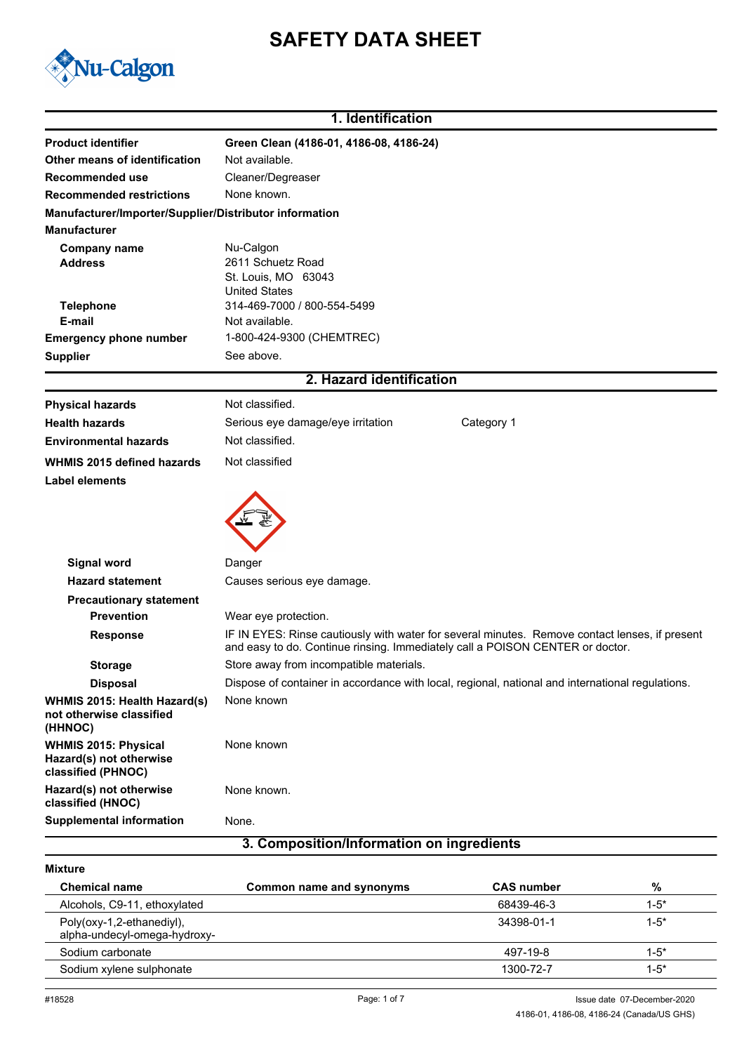# **SAFETY DATA SHEET**



## **1. Identification Product identifier Green Clean (4186-01, 4186-08, 4186-24) Other means of identification** Not available. **Recommended use** Cleaner/Degreaser **Recommended restrictions** None known. **Manufacturer/Importer/Supplier/Distributor information Manufacturer** Nu-Calgon **Address** 2611 Schuetz Road **Company name Telephone** 314-469-7000 / 800-554-5499 **Emergency phone number** 1-800-424-9300 (CHEMTREC) **E-mail** United States Not available. St. Louis, MO 63043 **Supplier** See above. **2. Hazard identification Physical hazards** Not classified. **Health hazards Serious eye damage/eye irritation** Category 1 **Environmental hazards** Not classified. **WHMIS 2015 defined hazards** Not classified **Label elements Signal word** Danger **Hazard statement** Causes serious eye damage. **Precautionary statement Prevention** Wear eye protection. **Response** IF IN EYES: Rinse cautiously with water for several minutes. Remove contact lenses, if present and easy to do. Continue rinsing. Immediately call a POISON CENTER or doctor. **Storage** Store away from incompatible materials. **Disposal** Dispose of container in accordance with local, regional, national and international regulations. **WHMIS 2015: Health Hazard(s)** None known **not otherwise classified (HHNOC) WHMIS 2015: Physical** None known **Hazard(s) not otherwise classified (PHNOC) Hazard(s) not otherwise classified (HNOC)** None known. **Supplemental information** None.

### **3. Composition/Information on ingredients**

#### **Mixture**

| <b>Chemical name</b>                                      | Common name and synonyms | <b>CAS</b> number | %         |
|-----------------------------------------------------------|--------------------------|-------------------|-----------|
| Alcohols, C9-11, ethoxylated                              |                          | 68439-46-3        | $1 - 5^*$ |
| Poly(oxy-1,2-ethanediyl),<br>alpha-undecyl-omega-hydroxy- |                          | 34398-01-1        | $1 - 5^*$ |
| Sodium carbonate                                          |                          | 497-19-8          | $1 - 5^*$ |
| Sodium xylene sulphonate                                  |                          | 1300-72-7         | $1 - 5^*$ |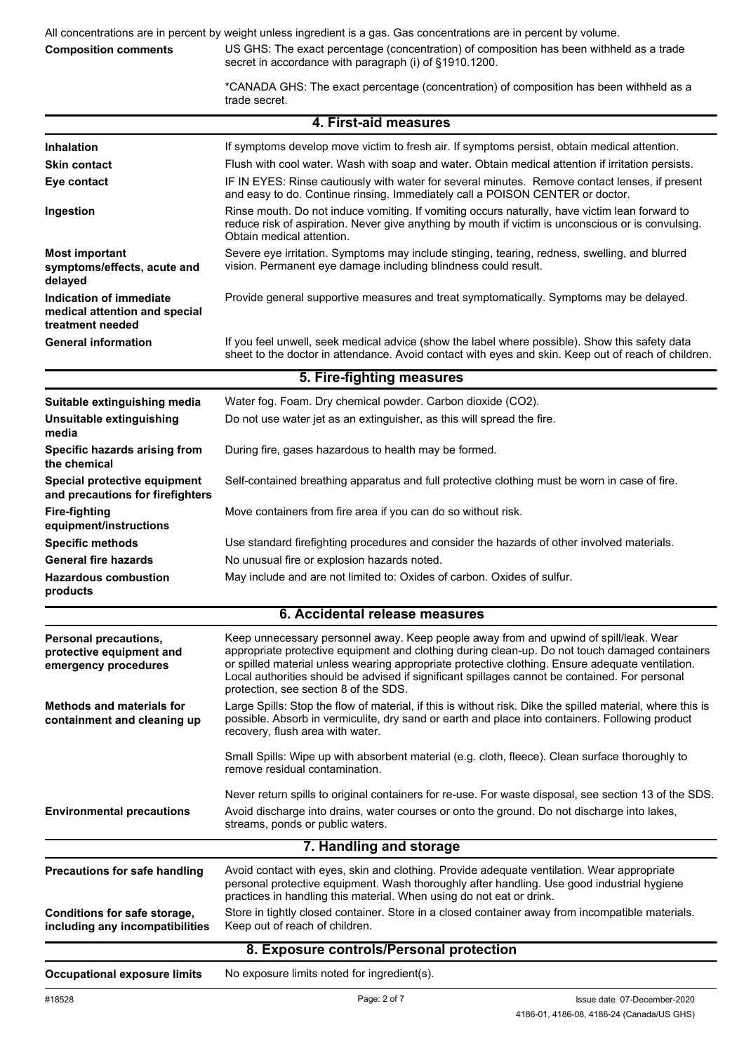All concentrations are in percent by weight unless ingredient is a gas. Gas concentrations are in percent by volume.

#### **Composition comments**

US GHS: The exact percentage (concentration) of composition has been withheld as a trade secret in accordance with paragraph (i) of §1910.1200.

\*CANADA GHS: The exact percentage (concentration) of composition has been withheld as a trade secret.

|                                                                              | 4. First-aid measures                                                                                                                                                                                                                                                                                                                                                                                                                  |  |  |
|------------------------------------------------------------------------------|----------------------------------------------------------------------------------------------------------------------------------------------------------------------------------------------------------------------------------------------------------------------------------------------------------------------------------------------------------------------------------------------------------------------------------------|--|--|
| <b>Inhalation</b>                                                            | If symptoms develop move victim to fresh air. If symptoms persist, obtain medical attention.                                                                                                                                                                                                                                                                                                                                           |  |  |
| <b>Skin contact</b>                                                          | Flush with cool water. Wash with soap and water. Obtain medical attention if irritation persists.                                                                                                                                                                                                                                                                                                                                      |  |  |
| Eye contact                                                                  | IF IN EYES: Rinse cautiously with water for several minutes. Remove contact lenses, if present<br>and easy to do. Continue rinsing. Immediately call a POISON CENTER or doctor.                                                                                                                                                                                                                                                        |  |  |
| Ingestion                                                                    | Rinse mouth. Do not induce vomiting. If vomiting occurs naturally, have victim lean forward to<br>reduce risk of aspiration. Never give anything by mouth if victim is unconscious or is convulsing.<br>Obtain medical attention.                                                                                                                                                                                                      |  |  |
| <b>Most important</b><br>symptoms/effects, acute and<br>delayed              | Severe eye irritation. Symptoms may include stinging, tearing, redness, swelling, and blurred<br>vision. Permanent eye damage including blindness could result.                                                                                                                                                                                                                                                                        |  |  |
| Indication of immediate<br>medical attention and special<br>treatment needed | Provide general supportive measures and treat symptomatically. Symptoms may be delayed.                                                                                                                                                                                                                                                                                                                                                |  |  |
| <b>General information</b>                                                   | If you feel unwell, seek medical advice (show the label where possible). Show this safety data<br>sheet to the doctor in attendance. Avoid contact with eyes and skin. Keep out of reach of children.                                                                                                                                                                                                                                  |  |  |
|                                                                              | 5. Fire-fighting measures                                                                                                                                                                                                                                                                                                                                                                                                              |  |  |
| Suitable extinguishing media                                                 | Water fog. Foam. Dry chemical powder. Carbon dioxide (CO2).                                                                                                                                                                                                                                                                                                                                                                            |  |  |
| <b>Unsuitable extinguishing</b><br>media                                     | Do not use water jet as an extinguisher, as this will spread the fire.                                                                                                                                                                                                                                                                                                                                                                 |  |  |
| Specific hazards arising from<br>the chemical                                | During fire, gases hazardous to health may be formed.                                                                                                                                                                                                                                                                                                                                                                                  |  |  |
| Special protective equipment<br>and precautions for firefighters             | Self-contained breathing apparatus and full protective clothing must be worn in case of fire.                                                                                                                                                                                                                                                                                                                                          |  |  |
| <b>Fire-fighting</b><br>equipment/instructions                               | Move containers from fire area if you can do so without risk.                                                                                                                                                                                                                                                                                                                                                                          |  |  |
| <b>Specific methods</b>                                                      | Use standard firefighting procedures and consider the hazards of other involved materials.                                                                                                                                                                                                                                                                                                                                             |  |  |
| <b>General fire hazards</b>                                                  | No unusual fire or explosion hazards noted.                                                                                                                                                                                                                                                                                                                                                                                            |  |  |
| <b>Hazardous combustion</b><br>products                                      | May include and are not limited to: Oxides of carbon. Oxides of sulfur.                                                                                                                                                                                                                                                                                                                                                                |  |  |
|                                                                              | 6. Accidental release measures                                                                                                                                                                                                                                                                                                                                                                                                         |  |  |
| Personal precautions,<br>protective equipment and<br>emergency procedures    | Keep unnecessary personnel away. Keep people away from and upwind of spill/leak. Wear<br>appropriate protective equipment and clothing during clean-up. Do not touch damaged containers<br>or spilled material unless wearing appropriate protective clothing. Ensure adequate ventilation.<br>Local authorities should be advised if significant spillages cannot be contained. For personal<br>protection, see section 8 of the SDS. |  |  |
| <b>Methods and materials for</b><br>containment and cleaning up              | Large Spills: Stop the flow of material, if this is without risk. Dike the spilled material, where this is<br>possible. Absorb in vermiculite, dry sand or earth and place into containers. Following product<br>recovery, flush area with water.                                                                                                                                                                                      |  |  |
|                                                                              | Small Spills: Wipe up with absorbent material (e.g. cloth, fleece). Clean surface thoroughly to<br>remove residual contamination.                                                                                                                                                                                                                                                                                                      |  |  |
|                                                                              | Never return spills to original containers for re-use. For waste disposal, see section 13 of the SDS.                                                                                                                                                                                                                                                                                                                                  |  |  |
| <b>Environmental precautions</b>                                             | Avoid discharge into drains, water courses or onto the ground. Do not discharge into lakes,<br>streams, ponds or public waters.                                                                                                                                                                                                                                                                                                        |  |  |
|                                                                              | 7. Handling and storage                                                                                                                                                                                                                                                                                                                                                                                                                |  |  |
| Precautions for safe handling                                                | Avoid contact with eyes, skin and clothing. Provide adequate ventilation. Wear appropriate<br>personal protective equipment. Wash thoroughly after handling. Use good industrial hygiene<br>practices in handling this material. When using do not eat or drink.                                                                                                                                                                       |  |  |
| Conditions for safe storage,<br>including any incompatibilities              | Store in tightly closed container. Store in a closed container away from incompatible materials.<br>Keep out of reach of children.                                                                                                                                                                                                                                                                                                     |  |  |
|                                                                              | 8. Exposure controls/Personal protection                                                                                                                                                                                                                                                                                                                                                                                               |  |  |
| <b>Occupational exposure limits</b>                                          | No exposure limits noted for ingredient(s).                                                                                                                                                                                                                                                                                                                                                                                            |  |  |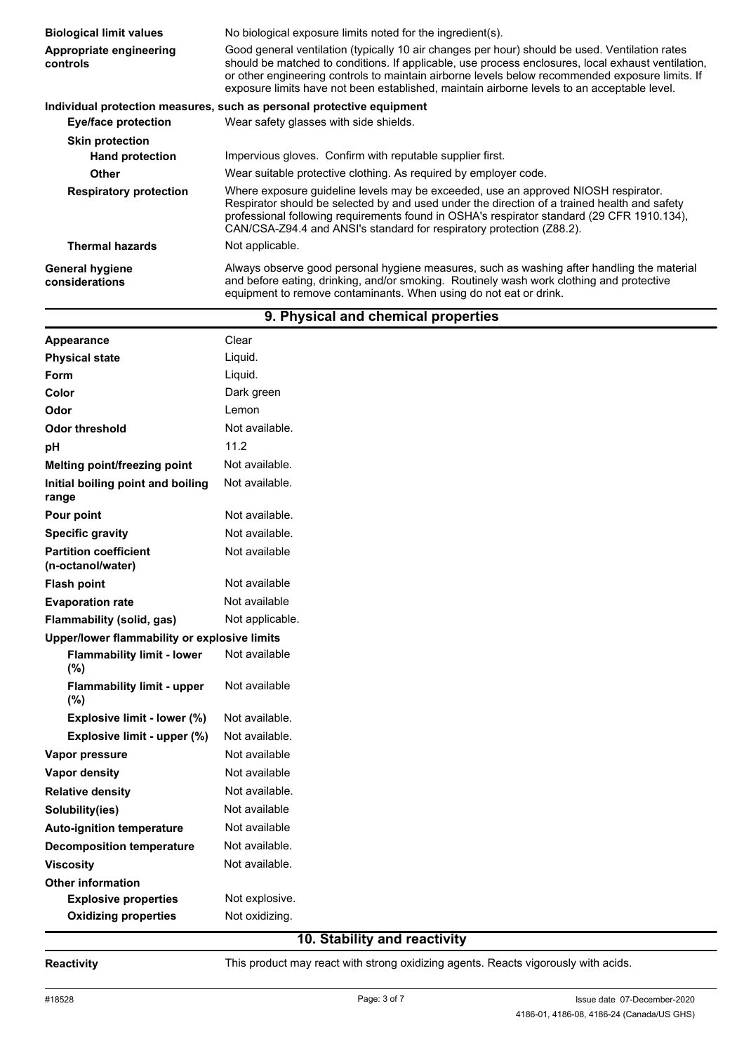| <b>Biological limit values</b>           | No biological exposure limits noted for the ingredient(s).                                                                                                                                                                                                                                                                                                                                             |  |
|------------------------------------------|--------------------------------------------------------------------------------------------------------------------------------------------------------------------------------------------------------------------------------------------------------------------------------------------------------------------------------------------------------------------------------------------------------|--|
| Appropriate engineering<br>controls      | Good general ventilation (typically 10 air changes per hour) should be used. Ventilation rates<br>should be matched to conditions. If applicable, use process enclosures, local exhaust ventilation,<br>or other engineering controls to maintain airborne levels below recommended exposure limits. If<br>exposure limits have not been established, maintain airborne levels to an acceptable level. |  |
|                                          | Individual protection measures, such as personal protective equipment                                                                                                                                                                                                                                                                                                                                  |  |
| Eye/face protection                      | Wear safety glasses with side shields.                                                                                                                                                                                                                                                                                                                                                                 |  |
| <b>Skin protection</b>                   |                                                                                                                                                                                                                                                                                                                                                                                                        |  |
| <b>Hand protection</b>                   | Impervious gloves. Confirm with reputable supplier first.                                                                                                                                                                                                                                                                                                                                              |  |
| Other                                    | Wear suitable protective clothing. As required by employer code.                                                                                                                                                                                                                                                                                                                                       |  |
| <b>Respiratory protection</b>            | Where exposure guideline levels may be exceeded, use an approved NIOSH respirator.<br>Respirator should be selected by and used under the direction of a trained health and safety<br>professional following requirements found in OSHA's respirator standard (29 CFR 1910.134),<br>CAN/CSA-Z94.4 and ANSI's standard for respiratory protection (Z88.2).                                              |  |
| <b>Thermal hazards</b>                   | Not applicable.                                                                                                                                                                                                                                                                                                                                                                                        |  |
| <b>General hygiene</b><br>considerations | Always observe good personal hygiene measures, such as washing after handling the material<br>and before eating, drinking, and/or smoking. Routinely wash work clothing and protective<br>equipment to remove contaminants. When using do not eat or drink.                                                                                                                                            |  |

# **9. Physical and chemical properties**

| Appearance                                        | Clear           |
|---------------------------------------------------|-----------------|
| <b>Physical state</b>                             | Liquid.         |
| Form                                              | Liquid.         |
| Color                                             | Dark green      |
| Odor                                              | Lemon           |
| <b>Odor threshold</b>                             | Not available.  |
| pH                                                | 11.2            |
| Melting point/freezing point                      | Not available.  |
| Initial boiling point and boiling<br>range        | Not available.  |
| Pour point                                        | Not available.  |
| <b>Specific gravity</b>                           | Not available.  |
| <b>Partition coefficient</b><br>(n-octanol/water) | Not available   |
| <b>Flash point</b>                                | Not available   |
| <b>Evaporation rate</b>                           | Not available   |
| Flammability (solid, gas)                         | Not applicable. |
| Upper/lower flammability or explosive limits      |                 |
| <b>Flammability limit - lower</b><br>(%)          | Not available   |
| <b>Flammability limit - upper</b><br>(%)          | Not available   |
| Explosive limit - lower (%)                       | Not available.  |
| Explosive limit - upper (%)                       | Not available.  |
| Vapor pressure                                    | Not available   |
| Vapor density                                     | Not available   |
| <b>Relative density</b>                           | Not available.  |
| Solubility(ies)                                   | Not available   |
| <b>Auto-ignition temperature</b>                  | Not available   |
| <b>Decomposition temperature</b>                  | Not available.  |
| <b>Viscosity</b>                                  | Not available.  |
| <b>Other information</b>                          |                 |
| <b>Explosive properties</b>                       | Not explosive.  |
| <b>Oxidizing properties</b>                       | Not oxidizing.  |

# **10. Stability and reactivity**

Reactivity **Reactivity** This product may react with strong oxidizing agents. Reacts vigorously with acids.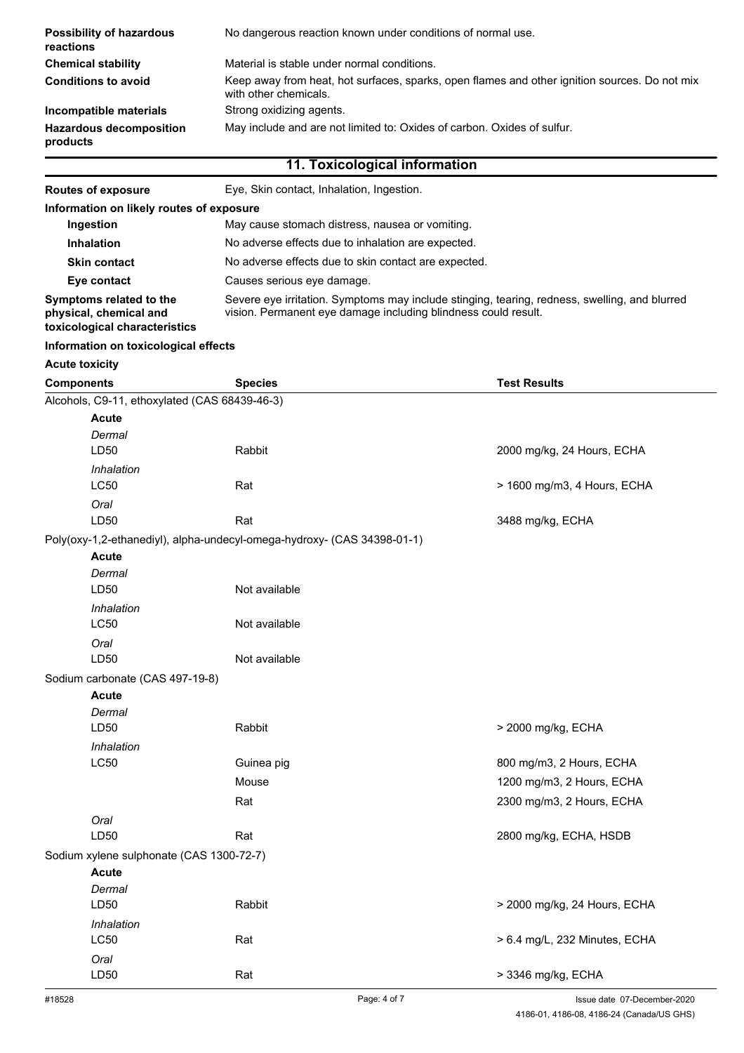| <b>Possibility of hazardous</b><br>reactions | No dangerous reaction known under conditions of normal use.                                                            |  |
|----------------------------------------------|------------------------------------------------------------------------------------------------------------------------|--|
| <b>Chemical stability</b>                    | Material is stable under normal conditions.                                                                            |  |
| <b>Conditions to avoid</b>                   | Keep away from heat, hot surfaces, sparks, open flames and other ignition sources. Do not mix<br>with other chemicals. |  |
| Incompatible materials                       | Strong oxidizing agents.                                                                                               |  |
| <b>Hazardous decomposition</b><br>products   | May include and are not limited to: Oxides of carbon. Oxides of sulfur.                                                |  |
| 11. Toxicological information                |                                                                                                                        |  |

| <b>Routes of exposure</b>                                                          | Eye, Skin contact, Inhalation, Ingestion.                                                                                                                       |  |  |
|------------------------------------------------------------------------------------|-----------------------------------------------------------------------------------------------------------------------------------------------------------------|--|--|
| Information on likely routes of exposure                                           |                                                                                                                                                                 |  |  |
| Ingestion                                                                          | May cause stomach distress, nausea or vomiting.                                                                                                                 |  |  |
| <b>Inhalation</b>                                                                  | No adverse effects due to inhalation are expected.                                                                                                              |  |  |
| <b>Skin contact</b>                                                                | No adverse effects due to skin contact are expected.                                                                                                            |  |  |
| Eye contact                                                                        | Causes serious eye damage.                                                                                                                                      |  |  |
| Symptoms related to the<br>physical, chemical and<br>toxicological characteristics | Severe eye irritation. Symptoms may include stinging, tearing, redness, swelling, and blurred<br>vision. Permanent eye damage including blindness could result. |  |  |

### **Information on toxicological effects**

### **Acute toxicity**

| Alcohols, C9-11, ethoxylated (CAS 68439-46-3)<br>Acute<br>Dermal<br>LD50<br>Rabbit<br>2000 mg/kg, 24 Hours, ECHA<br>Inhalation<br>LC50<br>> 1600 mg/m3, 4 Hours, ECHA<br>Rat<br>Oral<br>LD50<br>3488 mg/kg, ECHA<br>Rat<br>Poly(oxy-1,2-ethanediyl), alpha-undecyl-omega-hydroxy- (CAS 34398-01-1)<br><b>Acute</b><br>Dermal<br>LD50<br>Not available<br>Inhalation<br><b>LC50</b><br>Not available<br>Oral<br>LD50<br>Not available<br>Sodium carbonate (CAS 497-19-8)<br><b>Acute</b><br>Dermal<br>LD50<br>Rabbit<br>> 2000 mg/kg, ECHA<br>Inhalation<br><b>LC50</b><br>800 mg/m3, 2 Hours, ECHA<br>Guinea pig<br>1200 mg/m3, 2 Hours, ECHA<br>Mouse<br>Rat<br>2300 mg/m3, 2 Hours, ECHA<br>Oral<br>LD50<br>Rat<br>2800 mg/kg, ECHA, HSDB<br>Sodium xylene sulphonate (CAS 1300-72-7)<br><b>Acute</b><br>Dermal<br>LD50<br>Rabbit<br>> 2000 mg/kg, 24 Hours, ECHA<br>Inhalation<br><b>LC50</b><br>> 6.4 mg/L, 232 Minutes, ECHA<br>Rat<br>Oral<br>LD50<br>> 3346 mg/kg, ECHA<br>Rat<br>#18528<br>Page: 4 of 7<br>Issue date 07-December-2020 | <b>Components</b> | <b>Species</b> | <b>Test Results</b> |
|------------------------------------------------------------------------------------------------------------------------------------------------------------------------------------------------------------------------------------------------------------------------------------------------------------------------------------------------------------------------------------------------------------------------------------------------------------------------------------------------------------------------------------------------------------------------------------------------------------------------------------------------------------------------------------------------------------------------------------------------------------------------------------------------------------------------------------------------------------------------------------------------------------------------------------------------------------------------------------------------------------------------------------------------|-------------------|----------------|---------------------|
|                                                                                                                                                                                                                                                                                                                                                                                                                                                                                                                                                                                                                                                                                                                                                                                                                                                                                                                                                                                                                                                |                   |                |                     |
|                                                                                                                                                                                                                                                                                                                                                                                                                                                                                                                                                                                                                                                                                                                                                                                                                                                                                                                                                                                                                                                |                   |                |                     |
|                                                                                                                                                                                                                                                                                                                                                                                                                                                                                                                                                                                                                                                                                                                                                                                                                                                                                                                                                                                                                                                |                   |                |                     |
|                                                                                                                                                                                                                                                                                                                                                                                                                                                                                                                                                                                                                                                                                                                                                                                                                                                                                                                                                                                                                                                |                   |                |                     |
|                                                                                                                                                                                                                                                                                                                                                                                                                                                                                                                                                                                                                                                                                                                                                                                                                                                                                                                                                                                                                                                |                   |                |                     |
|                                                                                                                                                                                                                                                                                                                                                                                                                                                                                                                                                                                                                                                                                                                                                                                                                                                                                                                                                                                                                                                |                   |                |                     |
|                                                                                                                                                                                                                                                                                                                                                                                                                                                                                                                                                                                                                                                                                                                                                                                                                                                                                                                                                                                                                                                |                   |                |                     |
|                                                                                                                                                                                                                                                                                                                                                                                                                                                                                                                                                                                                                                                                                                                                                                                                                                                                                                                                                                                                                                                |                   |                |                     |
|                                                                                                                                                                                                                                                                                                                                                                                                                                                                                                                                                                                                                                                                                                                                                                                                                                                                                                                                                                                                                                                |                   |                |                     |
|                                                                                                                                                                                                                                                                                                                                                                                                                                                                                                                                                                                                                                                                                                                                                                                                                                                                                                                                                                                                                                                |                   |                |                     |
|                                                                                                                                                                                                                                                                                                                                                                                                                                                                                                                                                                                                                                                                                                                                                                                                                                                                                                                                                                                                                                                |                   |                |                     |
|                                                                                                                                                                                                                                                                                                                                                                                                                                                                                                                                                                                                                                                                                                                                                                                                                                                                                                                                                                                                                                                |                   |                |                     |
|                                                                                                                                                                                                                                                                                                                                                                                                                                                                                                                                                                                                                                                                                                                                                                                                                                                                                                                                                                                                                                                |                   |                |                     |
|                                                                                                                                                                                                                                                                                                                                                                                                                                                                                                                                                                                                                                                                                                                                                                                                                                                                                                                                                                                                                                                |                   |                |                     |
|                                                                                                                                                                                                                                                                                                                                                                                                                                                                                                                                                                                                                                                                                                                                                                                                                                                                                                                                                                                                                                                |                   |                |                     |
|                                                                                                                                                                                                                                                                                                                                                                                                                                                                                                                                                                                                                                                                                                                                                                                                                                                                                                                                                                                                                                                |                   |                |                     |
|                                                                                                                                                                                                                                                                                                                                                                                                                                                                                                                                                                                                                                                                                                                                                                                                                                                                                                                                                                                                                                                |                   |                |                     |
|                                                                                                                                                                                                                                                                                                                                                                                                                                                                                                                                                                                                                                                                                                                                                                                                                                                                                                                                                                                                                                                |                   |                |                     |
|                                                                                                                                                                                                                                                                                                                                                                                                                                                                                                                                                                                                                                                                                                                                                                                                                                                                                                                                                                                                                                                |                   |                |                     |
|                                                                                                                                                                                                                                                                                                                                                                                                                                                                                                                                                                                                                                                                                                                                                                                                                                                                                                                                                                                                                                                |                   |                |                     |
|                                                                                                                                                                                                                                                                                                                                                                                                                                                                                                                                                                                                                                                                                                                                                                                                                                                                                                                                                                                                                                                |                   |                |                     |
|                                                                                                                                                                                                                                                                                                                                                                                                                                                                                                                                                                                                                                                                                                                                                                                                                                                                                                                                                                                                                                                |                   |                |                     |
|                                                                                                                                                                                                                                                                                                                                                                                                                                                                                                                                                                                                                                                                                                                                                                                                                                                                                                                                                                                                                                                |                   |                |                     |
|                                                                                                                                                                                                                                                                                                                                                                                                                                                                                                                                                                                                                                                                                                                                                                                                                                                                                                                                                                                                                                                |                   |                |                     |
|                                                                                                                                                                                                                                                                                                                                                                                                                                                                                                                                                                                                                                                                                                                                                                                                                                                                                                                                                                                                                                                |                   |                |                     |
|                                                                                                                                                                                                                                                                                                                                                                                                                                                                                                                                                                                                                                                                                                                                                                                                                                                                                                                                                                                                                                                |                   |                |                     |
|                                                                                                                                                                                                                                                                                                                                                                                                                                                                                                                                                                                                                                                                                                                                                                                                                                                                                                                                                                                                                                                |                   |                |                     |
|                                                                                                                                                                                                                                                                                                                                                                                                                                                                                                                                                                                                                                                                                                                                                                                                                                                                                                                                                                                                                                                |                   |                |                     |
|                                                                                                                                                                                                                                                                                                                                                                                                                                                                                                                                                                                                                                                                                                                                                                                                                                                                                                                                                                                                                                                |                   |                |                     |
|                                                                                                                                                                                                                                                                                                                                                                                                                                                                                                                                                                                                                                                                                                                                                                                                                                                                                                                                                                                                                                                |                   |                |                     |
|                                                                                                                                                                                                                                                                                                                                                                                                                                                                                                                                                                                                                                                                                                                                                                                                                                                                                                                                                                                                                                                |                   |                |                     |
|                                                                                                                                                                                                                                                                                                                                                                                                                                                                                                                                                                                                                                                                                                                                                                                                                                                                                                                                                                                                                                                |                   |                |                     |
|                                                                                                                                                                                                                                                                                                                                                                                                                                                                                                                                                                                                                                                                                                                                                                                                                                                                                                                                                                                                                                                |                   |                |                     |
|                                                                                                                                                                                                                                                                                                                                                                                                                                                                                                                                                                                                                                                                                                                                                                                                                                                                                                                                                                                                                                                |                   |                |                     |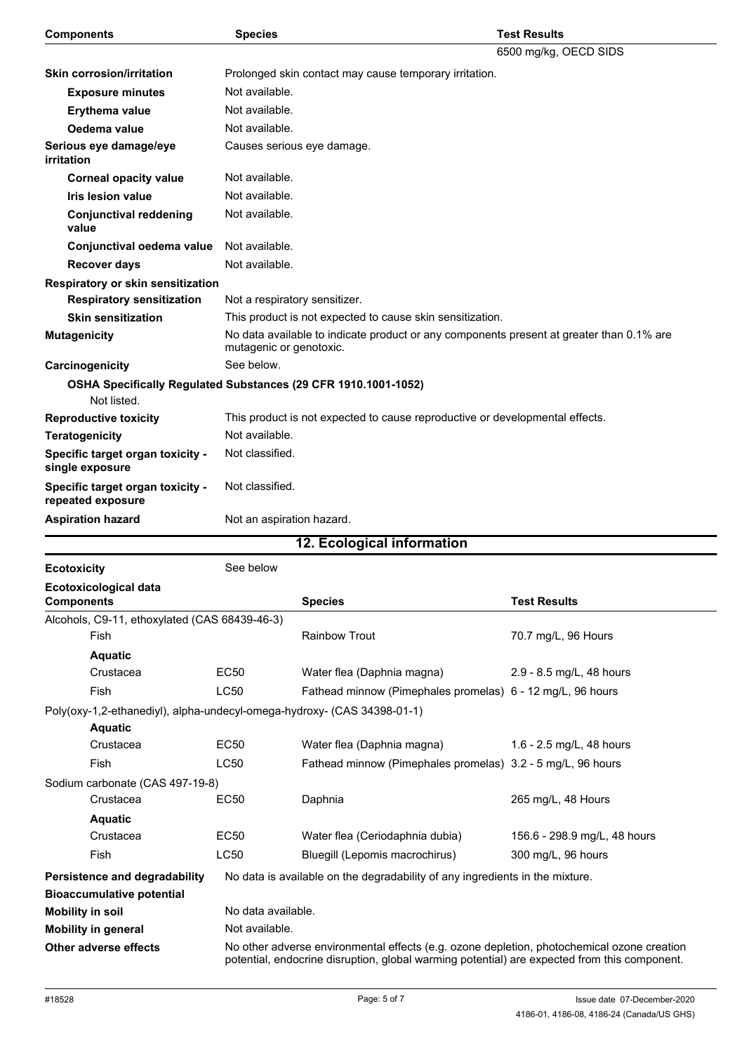| <b>Components</b>                                                             | <b>Species</b>                                                                                                      |                                                                              | <b>Test Results</b>          |  |
|-------------------------------------------------------------------------------|---------------------------------------------------------------------------------------------------------------------|------------------------------------------------------------------------------|------------------------------|--|
|                                                                               |                                                                                                                     |                                                                              | 6500 mg/kg, OECD SIDS        |  |
| <b>Skin corrosion/irritation</b>                                              |                                                                                                                     | Prolonged skin contact may cause temporary irritation.                       |                              |  |
| <b>Exposure minutes</b>                                                       | Not available.                                                                                                      |                                                                              |                              |  |
| Erythema value                                                                | Not available.                                                                                                      |                                                                              |                              |  |
| Oedema value                                                                  | Not available.                                                                                                      |                                                                              |                              |  |
| Serious eye damage/eye<br>irritation                                          |                                                                                                                     | Causes serious eye damage.                                                   |                              |  |
| <b>Corneal opacity value</b>                                                  | Not available.                                                                                                      |                                                                              |                              |  |
| <b>Iris lesion value</b>                                                      | Not available.                                                                                                      |                                                                              |                              |  |
| <b>Conjunctival reddening</b><br>value                                        | Not available.                                                                                                      |                                                                              |                              |  |
| Conjunctival oedema value                                                     | Not available.                                                                                                      |                                                                              |                              |  |
| <b>Recover days</b>                                                           | Not available.                                                                                                      |                                                                              |                              |  |
| Respiratory or skin sensitization                                             |                                                                                                                     |                                                                              |                              |  |
| <b>Respiratory sensitization</b>                                              | Not a respiratory sensitizer.                                                                                       |                                                                              |                              |  |
| <b>Skin sensitization</b>                                                     |                                                                                                                     | This product is not expected to cause skin sensitization.                    |                              |  |
| <b>Mutagenicity</b>                                                           | No data available to indicate product or any components present at greater than 0.1% are<br>mutagenic or genotoxic. |                                                                              |                              |  |
| Carcinogenicity                                                               | See below.                                                                                                          |                                                                              |                              |  |
| OSHA Specifically Regulated Substances (29 CFR 1910.1001-1052)<br>Not listed. |                                                                                                                     |                                                                              |                              |  |
| <b>Reproductive toxicity</b>                                                  |                                                                                                                     | This product is not expected to cause reproductive or developmental effects. |                              |  |
| <b>Teratogenicity</b>                                                         | Not available.                                                                                                      |                                                                              |                              |  |
| Specific target organ toxicity -<br>single exposure                           | Not classified.                                                                                                     |                                                                              |                              |  |
| Specific target organ toxicity -<br>repeated exposure                         | Not classified.                                                                                                     |                                                                              |                              |  |
| <b>Aspiration hazard</b>                                                      |                                                                                                                     | Not an aspiration hazard.                                                    |                              |  |
|                                                                               |                                                                                                                     | 12. Ecological information                                                   |                              |  |
| <b>Ecotoxicity</b>                                                            | See below                                                                                                           |                                                                              |                              |  |
| Ecotoxicological data<br><b>Components</b>                                    |                                                                                                                     | <b>Species</b>                                                               | <b>Test Results</b>          |  |
| Alcohols, C9-11, ethoxylated (CAS 68439-46-3)                                 |                                                                                                                     |                                                                              |                              |  |
| Fish                                                                          |                                                                                                                     | <b>Rainbow Trout</b>                                                         | 70.7 mg/L, 96 Hours          |  |
| <b>Aquatic</b>                                                                |                                                                                                                     |                                                                              |                              |  |
| Crustacea                                                                     | <b>EC50</b>                                                                                                         | Water flea (Daphnia magna)                                                   | 2.9 - 8.5 mg/L, 48 hours     |  |
| Fish                                                                          | LC50                                                                                                                | Fathead minnow (Pimephales promelas) 6 - 12 mg/L, 96 hours                   |                              |  |
| Poly(oxy-1,2-ethanediyl), alpha-undecyl-omega-hydroxy- (CAS 34398-01-1)       |                                                                                                                     |                                                                              |                              |  |
| <b>Aquatic</b>                                                                |                                                                                                                     |                                                                              |                              |  |
| Crustacea                                                                     | <b>EC50</b>                                                                                                         | Water flea (Daphnia magna)                                                   | 1.6 - 2.5 mg/L, 48 hours     |  |
| Fish                                                                          | LC50                                                                                                                | Fathead minnow (Pimephales promelas) 3.2 - 5 mg/L, 96 hours                  |                              |  |
| Sodium carbonate (CAS 497-19-8)                                               |                                                                                                                     |                                                                              |                              |  |
| Crustacea                                                                     | <b>EC50</b>                                                                                                         | Daphnia                                                                      | 265 mg/L, 48 Hours           |  |
| <b>Aquatic</b>                                                                |                                                                                                                     |                                                                              |                              |  |
| Crustacea                                                                     | <b>EC50</b>                                                                                                         | Water flea (Ceriodaphnia dubia)                                              | 156.6 - 298.9 mg/L, 48 hours |  |
| Fish                                                                          | LC50                                                                                                                | Bluegill (Lepomis macrochirus)                                               | 300 mg/L, 96 hours           |  |
|                                                                               |                                                                                                                     | No data is available on the degradability of any ingredients in the mixture. |                              |  |
| Persistence and degradability<br><b>Bioaccumulative potential</b>             |                                                                                                                     |                                                                              |                              |  |

**Mobility in soil** No data available. **Mobility in general** Not available.

**Other adverse effects No other** adverse environmental effects (e.g. ozone depletion, photochemical ozone creation potential, endocrine disruption, global warming potential) are expected from this component.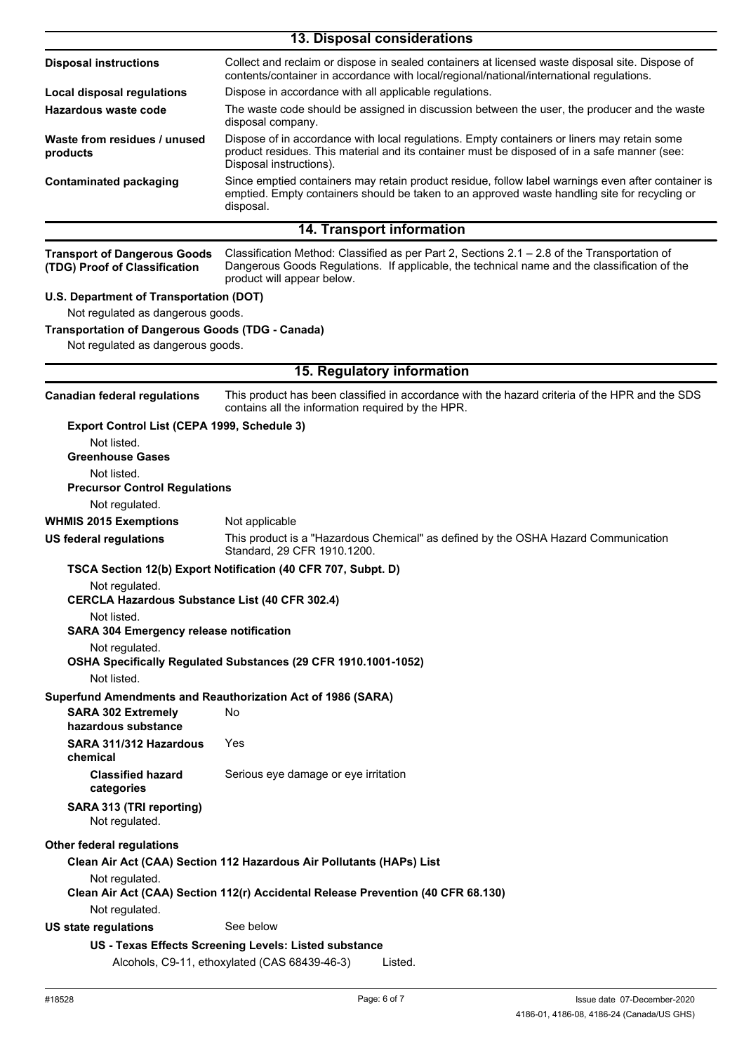|                                                                         | 13. Disposal considerations                                                                                                                                                                                                |  |  |
|-------------------------------------------------------------------------|----------------------------------------------------------------------------------------------------------------------------------------------------------------------------------------------------------------------------|--|--|
| <b>Disposal instructions</b>                                            | Collect and reclaim or dispose in sealed containers at licensed waste disposal site. Dispose of<br>contents/container in accordance with local/regional/national/international regulations.                                |  |  |
| <b>Local disposal regulations</b>                                       | Dispose in accordance with all applicable regulations.                                                                                                                                                                     |  |  |
| Hazardous waste code                                                    | The waste code should be assigned in discussion between the user, the producer and the waste<br>disposal company.                                                                                                          |  |  |
| Waste from residues / unused<br>products                                | Dispose of in accordance with local regulations. Empty containers or liners may retain some<br>product residues. This material and its container must be disposed of in a safe manner (see:<br>Disposal instructions).     |  |  |
| <b>Contaminated packaging</b>                                           | Since emptied containers may retain product residue, follow label warnings even after container is<br>emptied. Empty containers should be taken to an approved waste handling site for recycling or<br>disposal.           |  |  |
|                                                                         | 14. Transport information                                                                                                                                                                                                  |  |  |
| <b>Transport of Dangerous Goods</b><br>(TDG) Proof of Classification    | Classification Method: Classified as per Part 2, Sections 2.1 - 2.8 of the Transportation of<br>Dangerous Goods Regulations. If applicable, the technical name and the classification of the<br>product will appear below. |  |  |
| U.S. Department of Transportation (DOT)                                 |                                                                                                                                                                                                                            |  |  |
| Not regulated as dangerous goods.                                       |                                                                                                                                                                                                                            |  |  |
| <b>Transportation of Dangerous Goods (TDG - Canada)</b>                 |                                                                                                                                                                                                                            |  |  |
| Not regulated as dangerous goods.                                       |                                                                                                                                                                                                                            |  |  |
|                                                                         | 15. Regulatory information                                                                                                                                                                                                 |  |  |
| <b>Canadian federal regulations</b>                                     | This product has been classified in accordance with the hazard criteria of the HPR and the SDS<br>contains all the information required by the HPR.                                                                        |  |  |
| Export Control List (CEPA 1999, Schedule 3)                             |                                                                                                                                                                                                                            |  |  |
| Not listed.                                                             |                                                                                                                                                                                                                            |  |  |
| <b>Greenhouse Gases</b>                                                 |                                                                                                                                                                                                                            |  |  |
| Not listed.<br><b>Precursor Control Regulations</b>                     |                                                                                                                                                                                                                            |  |  |
| Not regulated.                                                          |                                                                                                                                                                                                                            |  |  |
| <b>WHMIS 2015 Exemptions</b>                                            | Not applicable                                                                                                                                                                                                             |  |  |
| <b>US federal regulations</b>                                           | This product is a "Hazardous Chemical" as defined by the OSHA Hazard Communication<br>Standard, 29 CFR 1910.1200.                                                                                                          |  |  |
|                                                                         | TSCA Section 12(b) Export Notification (40 CFR 707, Subpt. D)                                                                                                                                                              |  |  |
| Not regulated.<br><b>CERCLA Hazardous Substance List (40 CFR 302.4)</b> |                                                                                                                                                                                                                            |  |  |
| Not listed.<br><b>SARA 304 Emergency release notification</b>           |                                                                                                                                                                                                                            |  |  |
| Not regulated.                                                          |                                                                                                                                                                                                                            |  |  |
| Not listed.                                                             | OSHA Specifically Regulated Substances (29 CFR 1910.1001-1052)                                                                                                                                                             |  |  |
|                                                                         | Superfund Amendments and Reauthorization Act of 1986 (SARA)                                                                                                                                                                |  |  |
| <b>SARA 302 Extremely</b><br>hazardous substance                        | No                                                                                                                                                                                                                         |  |  |
| SARA 311/312 Hazardous<br>chemical                                      | Yes                                                                                                                                                                                                                        |  |  |
| <b>Classified hazard</b><br>categories                                  | Serious eye damage or eye irritation                                                                                                                                                                                       |  |  |
| SARA 313 (TRI reporting)<br>Not regulated.                              |                                                                                                                                                                                                                            |  |  |
| <b>Other federal regulations</b>                                        |                                                                                                                                                                                                                            |  |  |
| Not regulated.                                                          | Clean Air Act (CAA) Section 112 Hazardous Air Pollutants (HAPs) List                                                                                                                                                       |  |  |
| Not regulated.                                                          | Clean Air Act (CAA) Section 112(r) Accidental Release Prevention (40 CFR 68.130)                                                                                                                                           |  |  |
| <b>US state regulations</b>                                             | See below                                                                                                                                                                                                                  |  |  |
|                                                                         | US - Texas Effects Screening Levels: Listed substance                                                                                                                                                                      |  |  |
|                                                                         | Alcohols, C9-11, ethoxylated (CAS 68439-46-3)<br>Listed.                                                                                                                                                                   |  |  |